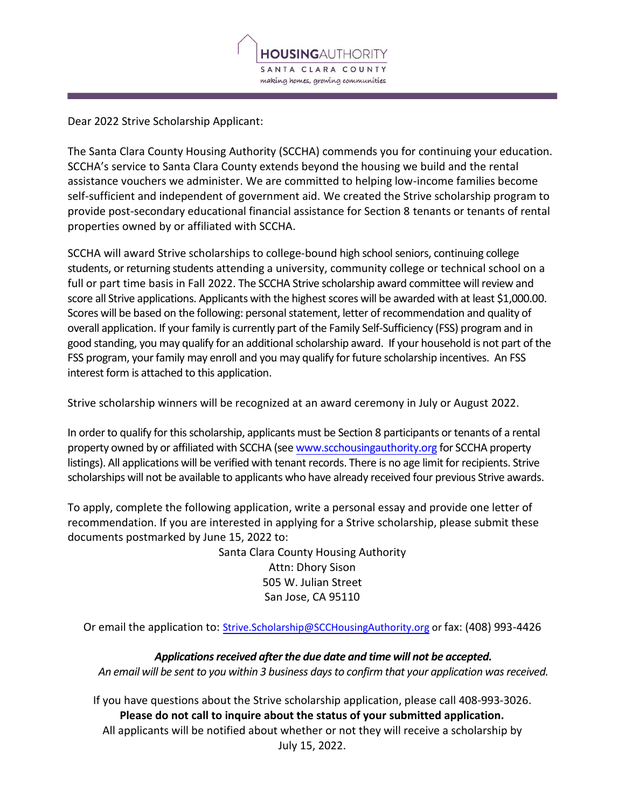

Dear 2022 Strive Scholarship Applicant:

The Santa Clara County Housing Authority (SCCHA) commends you for continuing your education. SCCHA's service to Santa Clara County extends beyond the housing we build and the rental assistance vouchers we administer. We are committed to helping low-income families become self-sufficient and independent of government aid. We created the Strive scholarship program to provide post-secondary educational financial assistance for Section 8 tenants or tenants of rental properties owned by or affiliated with SCCHA.

SCCHA will award Strive scholarships to college-bound high school seniors, continuing college students, or returning students attending a university, community college or technical school on a full or part time basis in Fall 2022. The SCCHA Strive scholarship award committee will review and score all Strive applications. Applicants with the highest scores will be awarded with at least \$1,000.00. Scores will be based on the following: personal statement, letter of recommendation and quality of overall application. If your family is currently part of the Family Self-Sufficiency (FSS) program and in good standing, you may qualify for an additional scholarship award. If your household is not part of the FSS program, your family may enroll and you may qualify for future scholarship incentives. An FSS interest form is attached to this application.

Strive scholarship winners will be recognized at an award ceremony in July or August 2022.

In order to qualify for this scholarship, applicants must be Section 8 participants or tenants of a rental property owned by or affiliated with SCCHA (see [www.scchousingauthority.org](http://www.scchousingauthority.org/) for SCCHA property listings). All applications will be verified with tenant records. There is no age limit for recipients. Strive scholarships will not be available to applicants who have already received four previous Strive awards.

To apply, complete the following application, write a personal essay and provide one letter of recommendation. If you are interested in applying for a Strive scholarship, please submit these documents postmarked by June 15, 2022 to:

> Santa Clara County Housing Authority Attn: Dhory Sison 505 W. Julian Street San Jose, CA 95110

Or email the application to: [Strive.Scholarship@SCCHousingAuthority.org](mailto:Strive.Scholarship@SCCHousingAuthority.org) or fax: (408) 993-4426

*Applications received after the due date and time will not be accepted. An email will be sent to you within 3 business days to confirm that your application wasreceived.*

If you have questions about the Strive scholarship application, please call 408-993-3026. **Please do not call to inquire about the status of your submitted application.** All applicants will be notified about whether or not they will receive a scholarship by July 15, 2022.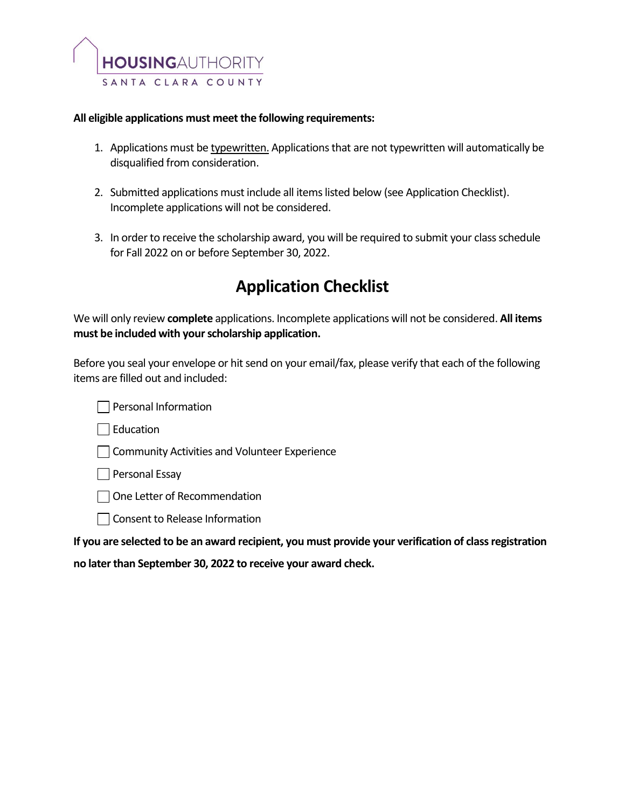

### **All eligible applications must meet the following requirements:**

- 1. Applications must be typewritten. Applications that are not typewritten will automatically be disqualified from consideration.
- 2. Submitted applications must include all items listed below (see Application Checklist). Incomplete applications will not be considered.
- 3. In order to receive the scholarship award, you will be required to submit your class schedule for Fall 2022 on or before September 30, 2022.

# **Application Checklist**

We will only review **complete** applications. Incomplete applications will not be considered. **All items must be included with your scholarship application.**

Before you seal your envelope or hit send on your email/fax, please verify that each of the following items are filled out and included:

| Personal Information |
|----------------------|
|                      |

 $\Box$  Education

**Community Activities and Volunteer Experience** 

 $\Box$  Personal Essay

□ One Letter of Recommendation

□ Consent to Release Information

**If you are selected to be an award recipient, you must provide your verification of class registration** 

**no later than September 30, 2022 to receive your award check.**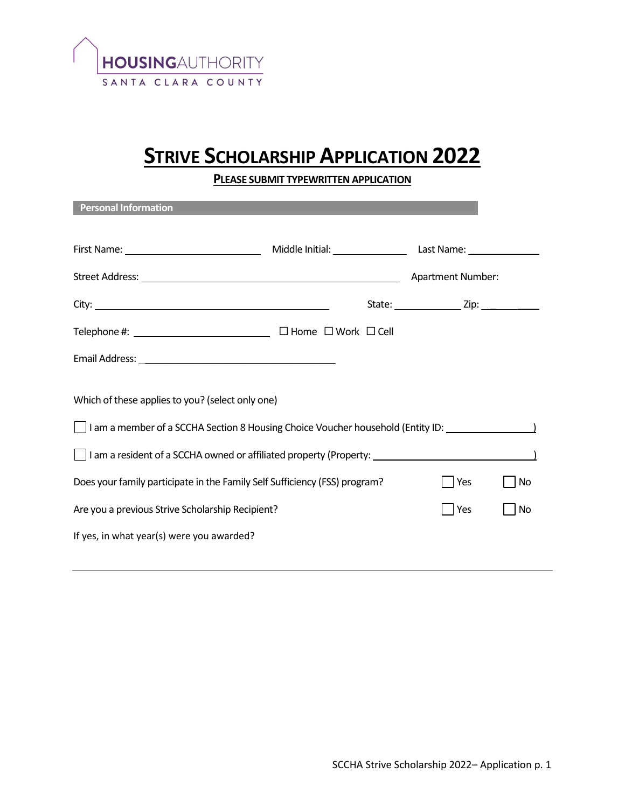

# **STRIVE SCHOLARSHIP APPLICATION 2022**

**PLEASE SUBMIT TYPEWRITTEN APPLICATION** 

| <b>Personal Information</b>                                                                                                                                                                                                          |  |  |     |    |  |  |  |
|--------------------------------------------------------------------------------------------------------------------------------------------------------------------------------------------------------------------------------------|--|--|-----|----|--|--|--|
|                                                                                                                                                                                                                                      |  |  |     |    |  |  |  |
|                                                                                                                                                                                                                                      |  |  |     |    |  |  |  |
|                                                                                                                                                                                                                                      |  |  |     |    |  |  |  |
| Telephone #: $\sqrt{\frac{1}{2}$ Telephone #: $\sqrt{\frac{1}{2}$ Telephone #:                                                                                                                                                       |  |  |     |    |  |  |  |
| Email Address: <u>Andreas Address and American and Address and Address and Address and Address and Address and Address and Address and Address and Address and Address and Address and Address and Address and Address and Addre</u> |  |  |     |    |  |  |  |
| Which of these applies to you? (select only one)                                                                                                                                                                                     |  |  |     |    |  |  |  |
| I am a member of a SCCHA Section 8 Housing Choice Voucher household (Entity ID: The manner of a SCCHA Section 8 Housing Choice Voucher household (Entity ID:                                                                         |  |  |     |    |  |  |  |
| I am a resident of a SCCHA owned or affiliated property (Property: ______________________________                                                                                                                                    |  |  |     |    |  |  |  |
| Does your family participate in the Family Self Sufficiency (FSS) program?                                                                                                                                                           |  |  | Yes | No |  |  |  |
| Are you a previous Strive Scholarship Recipient?                                                                                                                                                                                     |  |  | Yes | No |  |  |  |
| If yes, in what year(s) were you awarded?                                                                                                                                                                                            |  |  |     |    |  |  |  |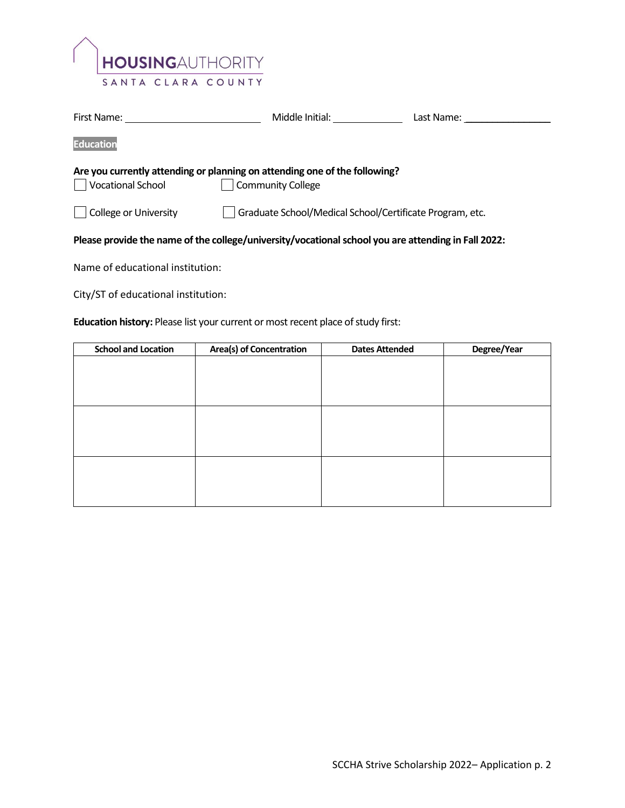

| First Name:                                                                                         | Middle Initial:                                                                                 | Last Name: |  |  |  |  |
|-----------------------------------------------------------------------------------------------------|-------------------------------------------------------------------------------------------------|------------|--|--|--|--|
| <b>Education</b>                                                                                    |                                                                                                 |            |  |  |  |  |
| Vocational School                                                                                   | Are you currently attending or planning on attending one of the following?<br>Community College |            |  |  |  |  |
| College or University                                                                               | Graduate School/Medical School/Certificate Program, etc.                                        |            |  |  |  |  |
| Please provide the name of the college/university/vocational school you are attending in Fall 2022: |                                                                                                 |            |  |  |  |  |
| Alexandre Construction of the attributions                                                          |                                                                                                 |            |  |  |  |  |

Name of educational institution:

City/ST of educational institution:

## **Education history:** Please list your current or most recent place of study first:

| <b>School and Location</b> | <b>Area(s) of Concentration</b> | <b>Dates Attended</b> | Degree/Year |
|----------------------------|---------------------------------|-----------------------|-------------|
|                            |                                 |                       |             |
|                            |                                 |                       |             |
|                            |                                 |                       |             |
|                            |                                 |                       |             |
|                            |                                 |                       |             |
|                            |                                 |                       |             |
|                            |                                 |                       |             |
|                            |                                 |                       |             |
|                            |                                 |                       |             |
|                            |                                 |                       |             |
|                            |                                 |                       |             |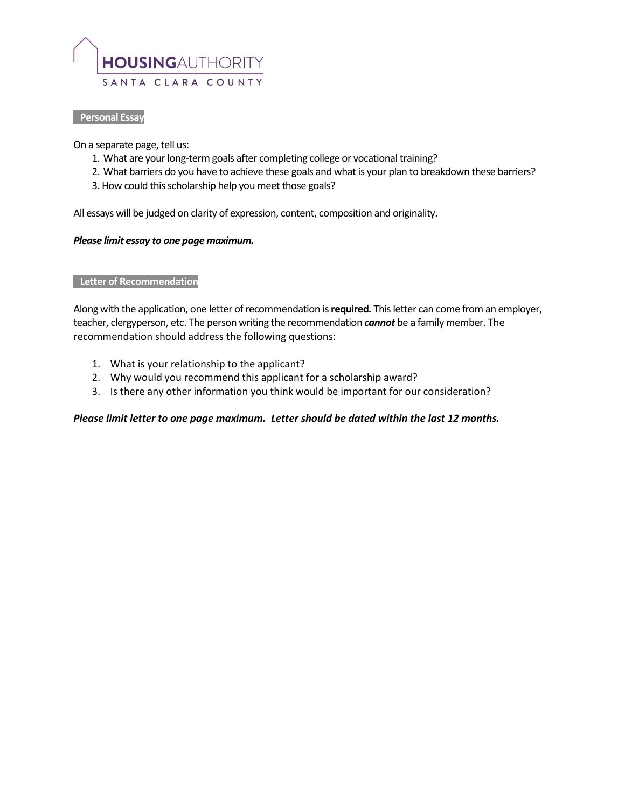

#### **Personal Essay**

On a separate page, tell us:

- 1. What are your long-term goals after completing college or vocational training?
- 2. What barriers do you have to achieve these goals and what is your plan to breakdown these barriers?
- 3. How could this scholarship help you meet those goals?

All essays will be judged on clarity of expression, content, composition and originality.

#### *Please limit essay to one page maximum.*

#### **Letter of Recommendation**

Along with the application, one letter of recommendation is **required.** This letter can come from an employer, teacher, clergyperson, etc. The person writing the recommendation *cannot* be a family member. The recommendation should address the following questions:

- 1. What is your relationship to the applicant?
- 2. Why would you recommend this applicant for a scholarship award?
- 3. Is there any other information you think would be important for our consideration?

#### *Please limit letter to one page maximum. Letter should be dated within the last 12 months.*